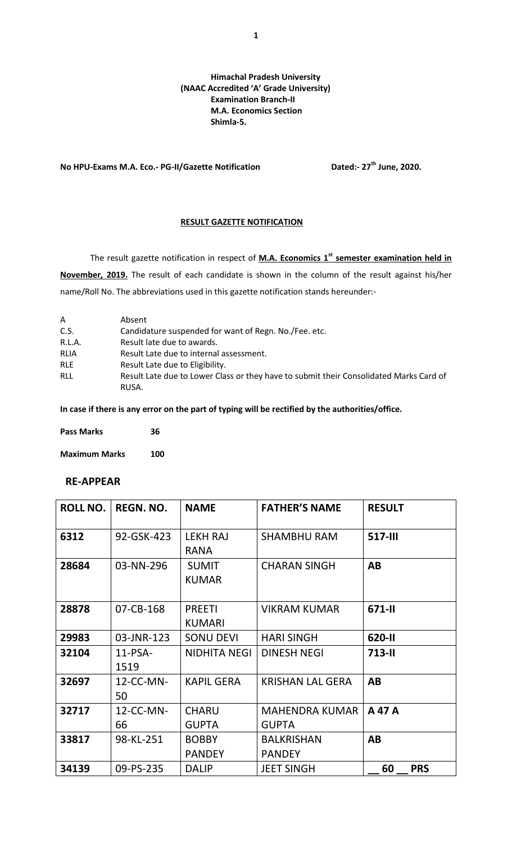#### **Himachal Pradesh University (NAAC Accredited 'A' Grade University) Examination Branch-II M.A. Economics Section Shimla-5.**

## **No HPU-Exams M.A. Eco.- PG-II/Gazette Notification Dated:- 27th June, 2020.**

#### **RESULT GAZETTE NOTIFICATION**

The result gazette notification in respect of **M.A. Economics 1<sup>st</sup> semester examination held in November, 2019.** The result of each candidate is shown in the column of the result against his/her name/Roll No. The abbreviations used in this gazette notification stands hereunder:-

| A          | Absent                                                                                 |
|------------|----------------------------------------------------------------------------------------|
| C.S.       | Candidature suspended for want of Regn. No. / Fee. etc.                                |
| R.L.A.     | Result late due to awards.                                                             |
| RLIA       | Result Late due to internal assessment.                                                |
| <b>RLE</b> | Result Late due to Eligibility.                                                        |
| RLL        | Result Late due to Lower Class or they have to submit their Consolidated Marks Card of |
|            | RUSA.                                                                                  |

**In case if there is any error on the part of typing will be rectified by the authorities/office.**

| <b>Pass Marks</b> | 36 |  |
|-------------------|----|--|
|                   |    |  |

**Maximum Marks 100**

## **RE-APPEAR**

| <b>ROLL NO.</b> | <b>REGN. NO.</b>   | <b>NAME</b>                    | <b>FATHER'S NAME</b>                  | <b>RESULT</b>    |
|-----------------|--------------------|--------------------------------|---------------------------------------|------------------|
| 6312            | 92-GSK-423         | <b>LEKH RAJ</b><br><b>RANA</b> | <b>SHAMBHU RAM</b>                    | <b>517-III</b>   |
| 28684           | 03-NN-296          | <b>SUMIT</b><br><b>KUMAR</b>   | <b>CHARAN SINGH</b>                   | AB               |
| 28878           | 07-CB-168          | <b>PREETI</b><br><b>KUMARI</b> | <b>VIKRAM KUMAR</b>                   | 671-II           |
| 29983           | 03-JNR-123         | <b>SONU DEVI</b>               | <b>HARI SINGH</b>                     | 620-II           |
| 32104           | $11$ -PSA-<br>1519 | <b>NIDHITA NEGI</b>            | <b>DINESH NEGI</b>                    | $713 - 11$       |
| 32697           | $12$ -CC-MN-<br>50 | <b>KAPIL GERA</b>              | <b>KRISHAN LAL GERA</b>               | AB               |
| 32717           | $12$ -CC-MN-<br>66 | <b>CHARU</b><br><b>GUPTA</b>   | <b>MAHENDRA KUMAR</b><br><b>GUPTA</b> | A 47 A           |
| 33817           | 98-KL-251          | <b>BOBBY</b><br><b>PANDEY</b>  | <b>BALKRISHAN</b><br><b>PANDEY</b>    | AB               |
| 34139           | 09-PS-235          | <b>DALIP</b>                   | <b>JEET SINGH</b>                     | 60<br><b>PRS</b> |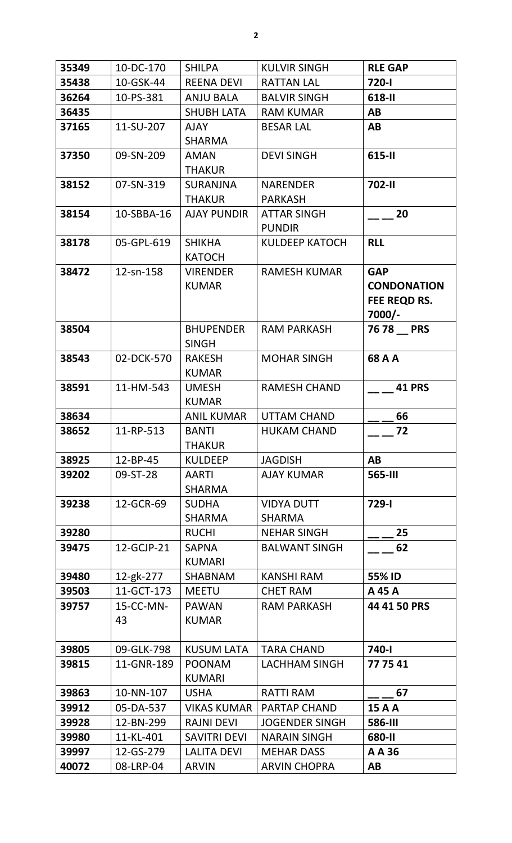| 35349 | 10-DC-170       | <b>SHILPA</b>                    | <b>KULVIR SINGH</b>                 | <b>RLE GAP</b>                                             |
|-------|-----------------|----------------------------------|-------------------------------------|------------------------------------------------------------|
| 35438 | 10-GSK-44       | <b>REENA DEVI</b>                | <b>RATTAN LAL</b>                   | 720-l                                                      |
| 36264 | 10-PS-381       | <b>ANJU BALA</b>                 | <b>BALVIR SINGH</b>                 | 618-II                                                     |
| 36435 |                 | <b>SHUBH LATA</b>                | <b>RAM KUMAR</b>                    | AB                                                         |
| 37165 | 11-SU-207       | <b>AJAY</b><br><b>SHARMA</b>     | <b>BESAR LAL</b>                    | AB                                                         |
| 37350 | 09-SN-209       | <b>AMAN</b><br><b>THAKUR</b>     | <b>DEVI SINGH</b>                   | 615-II                                                     |
| 38152 | 07-SN-319       | <b>SURANJNA</b><br><b>THAKUR</b> | <b>NARENDER</b><br><b>PARKASH</b>   | <b>702-II</b>                                              |
| 38154 | 10-SBBA-16      | <b>AJAY PUNDIR</b>               | <b>ATTAR SINGH</b><br><b>PUNDIR</b> | 20                                                         |
| 38178 | 05-GPL-619      | <b>SHIKHA</b><br><b>KATOCH</b>   | <b>KULDEEP KATOCH</b>               | <b>RLL</b>                                                 |
| 38472 | 12-sn-158       | <b>VIRENDER</b><br><b>KUMAR</b>  | <b>RAMESH KUMAR</b>                 | <b>GAP</b><br><b>CONDONATION</b><br>FEE REQD RS.<br>7000/- |
| 38504 |                 | <b>BHUPENDER</b><br><b>SINGH</b> | <b>RAM PARKASH</b>                  | 76 78 PRS                                                  |
| 38543 | 02-DCK-570      | <b>RAKESH</b><br><b>KUMAR</b>    | <b>MOHAR SINGH</b>                  | 68 A A                                                     |
| 38591 | 11-HM-543       | <b>UMESH</b><br><b>KUMAR</b>     | <b>RAMESH CHAND</b>                 | <b>41 PRS</b>                                              |
| 38634 |                 | <b>ANIL KUMAR</b>                | <b>UTTAM CHAND</b>                  | 66                                                         |
| 38652 | 11-RP-513       | <b>BANTI</b><br><b>THAKUR</b>    | <b>HUKAM CHAND</b>                  | 72                                                         |
| 38925 | 12-BP-45        | <b>KULDEEP</b>                   | <b>JAGDISH</b>                      | AB                                                         |
| 39202 | 09-ST-28        | <b>AARTI</b><br><b>SHARMA</b>    | <b>AJAY KUMAR</b>                   | 565-III                                                    |
| 39238 | 12-GCR-69       | <b>SUDHA</b><br><b>SHARMA</b>    | <b>VIDYA DUTT</b><br><b>SHARMA</b>  | 729-l                                                      |
| 39280 |                 | <b>RUCHI</b>                     | <b>NEHAR SINGH</b>                  | 25                                                         |
| 39475 | 12-GCJP-21      | <b>SAPNA</b><br><b>KUMARI</b>    | <b>BALWANT SINGH</b>                | 62                                                         |
| 39480 | 12-gk-277       | <b>SHABNAM</b>                   | <b>KANSHI RAM</b>                   | 55% ID                                                     |
| 39503 | 11-GCT-173      | <b>MEETU</b>                     | <b>CHET RAM</b>                     | A 45 A                                                     |
| 39757 | 15-CC-MN-<br>43 | <b>PAWAN</b><br><b>KUMAR</b>     | <b>RAM PARKASH</b>                  | 44 41 50 PRS                                               |
| 39805 | 09-GLK-798      | <b>KUSUM LATA</b>                | <b>TARA CHAND</b>                   | 740-l                                                      |
| 39815 | 11-GNR-189      | <b>POONAM</b><br><b>KUMARI</b>   | LACHHAM SINGH                       | 77 75 41                                                   |
| 39863 | 10-NN-107       | <b>USHA</b>                      | <b>RATTI RAM</b>                    | 67                                                         |
| 39912 | 05-DA-537       | <b>VIKAS KUMAR</b>               | <b>PARTAP CHAND</b>                 | <b>15 A A</b>                                              |
| 39928 | 12-BN-299       | <b>RAJNI DEVI</b>                | <b>JOGENDER SINGH</b>               | <b>586-III</b>                                             |
| 39980 | 11-KL-401       | <b>SAVITRI DEVI</b>              | <b>NARAIN SINGH</b>                 | 680-II                                                     |
| 39997 | 12-GS-279       | <b>LALITA DEVI</b>               | <b>MEHAR DASS</b>                   | A A 36                                                     |
| 40072 | 08-LRP-04       | <b>ARVIN</b>                     | <b>ARVIN CHOPRA</b>                 | AB                                                         |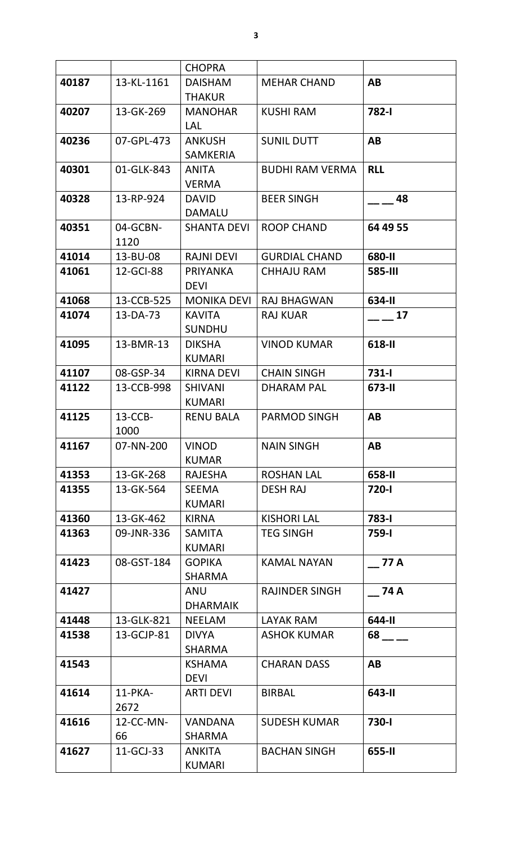| 40187<br>13-KL-1161<br><b>DAISHAM</b><br>AB<br><b>MEHAR CHAND</b><br><b>THAKUR</b><br>782-I<br>40207<br>13-GK-269<br><b>MANOHAR</b><br><b>KUSHI RAM</b><br><b>LAL</b><br>07-GPL-473<br><b>SUNIL DUTT</b><br><b>AB</b><br>40236<br><b>ANKUSH</b><br><b>SAMKERIA</b><br><b>RLL</b><br>40301<br>01-GLK-843<br><b>BUDHI RAM VERMA</b><br><b>ANITA</b><br><b>VERMA</b><br>40328<br>13-RP-924<br><b>BEER SINGH</b><br><b>DAVID</b><br>48<br><b>DAMALU</b><br>40351<br>04-GCBN-<br><b>SHANTA DEVI</b><br><b>ROOP CHAND</b><br>64 49 55<br>1120<br>680-II<br>41014<br>13-BU-08<br><b>RAJNI DEVI</b><br><b>GURDIAL CHAND</b><br>12-GCI-88<br>PRIYANKA<br>41061<br><b>CHHAJU RAM</b><br><b>585-III</b><br><b>DEVI</b><br>13-CCB-525<br>41068<br><b>MONIKA DEVI</b><br><b>RAJ BHAGWAN</b><br>634-II<br><b>KAVITA</b><br><b>RAJ KUAR</b><br>17<br>41074<br>13-DA-73<br><b>SUNDHU</b><br>618-II<br>13-BMR-13<br><b>DIKSHA</b><br><b>VINOD KUMAR</b><br>41095<br><b>KUMARI</b><br>41107<br>08-GSP-34<br><b>CHAIN SINGH</b><br>$731 - 1$<br><b>KIRNA DEVI</b><br>13-CCB-998<br>41122<br><b>SHIVANI</b><br><b>DHARAM PAL</b><br>673-II<br><b>KUMARI</b><br>$13-CCB-$<br>41125<br><b>PARMOD SINGH</b><br><b>AB</b><br><b>RENU BALA</b><br>1000<br>41167<br><b>VINOD</b><br><b>NAIN SINGH</b><br>AB<br>07-NN-200<br><b>KUMAR</b><br><b>ROSHAN LAL</b><br>41353<br>13-GK-268<br>658-II<br>RAJESHA<br><b>DESH RAJ</b><br>720-l<br>41355<br>13-GK-564<br><b>SEEMA</b><br><b>KUMARI</b><br>41360<br>13-GK-462<br><b>KIRNA</b><br><b>KISHORI LAL</b><br>783-I<br><b>TEG SINGH</b><br>41363<br>09-JNR-336<br><b>SAMITA</b><br>759-l<br><b>KUMARI</b><br><b>KAMAL NAYAN</b><br>41423<br>08-GST-184<br><b>GOPIKA</b><br><b>77 A</b><br><b>SHARMA</b><br>41427<br><b>ANU</b><br><b>RAJINDER SINGH</b><br>74 A<br><b>DHARMAIK</b><br>13-GLK-821<br>644-II<br>41448<br><b>NEELAM</b><br><b>LAYAK RAM</b><br>13-GCJP-81<br><b>ASHOK KUMAR</b><br>68 — 10<br>41538<br><b>DIVYA</b><br><b>SHARMA</b><br><b>CHARAN DASS</b><br>41543<br>AB<br><b>KSHAMA</b><br><b>DEVI</b><br>$11$ -PKA-<br>643-II<br>41614<br><b>ARTI DEVI</b><br><b>BIRBAL</b><br>2672 |       | <b>CHOPRA</b>  |       |
|-------------------------------------------------------------------------------------------------------------------------------------------------------------------------------------------------------------------------------------------------------------------------------------------------------------------------------------------------------------------------------------------------------------------------------------------------------------------------------------------------------------------------------------------------------------------------------------------------------------------------------------------------------------------------------------------------------------------------------------------------------------------------------------------------------------------------------------------------------------------------------------------------------------------------------------------------------------------------------------------------------------------------------------------------------------------------------------------------------------------------------------------------------------------------------------------------------------------------------------------------------------------------------------------------------------------------------------------------------------------------------------------------------------------------------------------------------------------------------------------------------------------------------------------------------------------------------------------------------------------------------------------------------------------------------------------------------------------------------------------------------------------------------------------------------------------------------------------------------------------------------------------------------------------------------------------------------------------------------------------------------------------------------------------------------------------------------------------------------------------------|-------|----------------|-------|
|                                                                                                                                                                                                                                                                                                                                                                                                                                                                                                                                                                                                                                                                                                                                                                                                                                                                                                                                                                                                                                                                                                                                                                                                                                                                                                                                                                                                                                                                                                                                                                                                                                                                                                                                                                                                                                                                                                                                                                                                                                                                                                                         |       |                |       |
|                                                                                                                                                                                                                                                                                                                                                                                                                                                                                                                                                                                                                                                                                                                                                                                                                                                                                                                                                                                                                                                                                                                                                                                                                                                                                                                                                                                                                                                                                                                                                                                                                                                                                                                                                                                                                                                                                                                                                                                                                                                                                                                         |       |                |       |
|                                                                                                                                                                                                                                                                                                                                                                                                                                                                                                                                                                                                                                                                                                                                                                                                                                                                                                                                                                                                                                                                                                                                                                                                                                                                                                                                                                                                                                                                                                                                                                                                                                                                                                                                                                                                                                                                                                                                                                                                                                                                                                                         |       |                |       |
|                                                                                                                                                                                                                                                                                                                                                                                                                                                                                                                                                                                                                                                                                                                                                                                                                                                                                                                                                                                                                                                                                                                                                                                                                                                                                                                                                                                                                                                                                                                                                                                                                                                                                                                                                                                                                                                                                                                                                                                                                                                                                                                         |       |                |       |
|                                                                                                                                                                                                                                                                                                                                                                                                                                                                                                                                                                                                                                                                                                                                                                                                                                                                                                                                                                                                                                                                                                                                                                                                                                                                                                                                                                                                                                                                                                                                                                                                                                                                                                                                                                                                                                                                                                                                                                                                                                                                                                                         |       |                |       |
|                                                                                                                                                                                                                                                                                                                                                                                                                                                                                                                                                                                                                                                                                                                                                                                                                                                                                                                                                                                                                                                                                                                                                                                                                                                                                                                                                                                                                                                                                                                                                                                                                                                                                                                                                                                                                                                                                                                                                                                                                                                                                                                         |       |                |       |
|                                                                                                                                                                                                                                                                                                                                                                                                                                                                                                                                                                                                                                                                                                                                                                                                                                                                                                                                                                                                                                                                                                                                                                                                                                                                                                                                                                                                                                                                                                                                                                                                                                                                                                                                                                                                                                                                                                                                                                                                                                                                                                                         |       |                |       |
|                                                                                                                                                                                                                                                                                                                                                                                                                                                                                                                                                                                                                                                                                                                                                                                                                                                                                                                                                                                                                                                                                                                                                                                                                                                                                                                                                                                                                                                                                                                                                                                                                                                                                                                                                                                                                                                                                                                                                                                                                                                                                                                         |       |                |       |
|                                                                                                                                                                                                                                                                                                                                                                                                                                                                                                                                                                                                                                                                                                                                                                                                                                                                                                                                                                                                                                                                                                                                                                                                                                                                                                                                                                                                                                                                                                                                                                                                                                                                                                                                                                                                                                                                                                                                                                                                                                                                                                                         |       |                |       |
|                                                                                                                                                                                                                                                                                                                                                                                                                                                                                                                                                                                                                                                                                                                                                                                                                                                                                                                                                                                                                                                                                                                                                                                                                                                                                                                                                                                                                                                                                                                                                                                                                                                                                                                                                                                                                                                                                                                                                                                                                                                                                                                         |       |                |       |
|                                                                                                                                                                                                                                                                                                                                                                                                                                                                                                                                                                                                                                                                                                                                                                                                                                                                                                                                                                                                                                                                                                                                                                                                                                                                                                                                                                                                                                                                                                                                                                                                                                                                                                                                                                                                                                                                                                                                                                                                                                                                                                                         |       |                |       |
|                                                                                                                                                                                                                                                                                                                                                                                                                                                                                                                                                                                                                                                                                                                                                                                                                                                                                                                                                                                                                                                                                                                                                                                                                                                                                                                                                                                                                                                                                                                                                                                                                                                                                                                                                                                                                                                                                                                                                                                                                                                                                                                         |       |                |       |
|                                                                                                                                                                                                                                                                                                                                                                                                                                                                                                                                                                                                                                                                                                                                                                                                                                                                                                                                                                                                                                                                                                                                                                                                                                                                                                                                                                                                                                                                                                                                                                                                                                                                                                                                                                                                                                                                                                                                                                                                                                                                                                                         |       |                |       |
|                                                                                                                                                                                                                                                                                                                                                                                                                                                                                                                                                                                                                                                                                                                                                                                                                                                                                                                                                                                                                                                                                                                                                                                                                                                                                                                                                                                                                                                                                                                                                                                                                                                                                                                                                                                                                                                                                                                                                                                                                                                                                                                         |       |                |       |
|                                                                                                                                                                                                                                                                                                                                                                                                                                                                                                                                                                                                                                                                                                                                                                                                                                                                                                                                                                                                                                                                                                                                                                                                                                                                                                                                                                                                                                                                                                                                                                                                                                                                                                                                                                                                                                                                                                                                                                                                                                                                                                                         |       |                |       |
|                                                                                                                                                                                                                                                                                                                                                                                                                                                                                                                                                                                                                                                                                                                                                                                                                                                                                                                                                                                                                                                                                                                                                                                                                                                                                                                                                                                                                                                                                                                                                                                                                                                                                                                                                                                                                                                                                                                                                                                                                                                                                                                         |       |                |       |
|                                                                                                                                                                                                                                                                                                                                                                                                                                                                                                                                                                                                                                                                                                                                                                                                                                                                                                                                                                                                                                                                                                                                                                                                                                                                                                                                                                                                                                                                                                                                                                                                                                                                                                                                                                                                                                                                                                                                                                                                                                                                                                                         |       |                |       |
|                                                                                                                                                                                                                                                                                                                                                                                                                                                                                                                                                                                                                                                                                                                                                                                                                                                                                                                                                                                                                                                                                                                                                                                                                                                                                                                                                                                                                                                                                                                                                                                                                                                                                                                                                                                                                                                                                                                                                                                                                                                                                                                         |       |                |       |
|                                                                                                                                                                                                                                                                                                                                                                                                                                                                                                                                                                                                                                                                                                                                                                                                                                                                                                                                                                                                                                                                                                                                                                                                                                                                                                                                                                                                                                                                                                                                                                                                                                                                                                                                                                                                                                                                                                                                                                                                                                                                                                                         |       |                |       |
|                                                                                                                                                                                                                                                                                                                                                                                                                                                                                                                                                                                                                                                                                                                                                                                                                                                                                                                                                                                                                                                                                                                                                                                                                                                                                                                                                                                                                                                                                                                                                                                                                                                                                                                                                                                                                                                                                                                                                                                                                                                                                                                         |       |                |       |
|                                                                                                                                                                                                                                                                                                                                                                                                                                                                                                                                                                                                                                                                                                                                                                                                                                                                                                                                                                                                                                                                                                                                                                                                                                                                                                                                                                                                                                                                                                                                                                                                                                                                                                                                                                                                                                                                                                                                                                                                                                                                                                                         |       |                |       |
|                                                                                                                                                                                                                                                                                                                                                                                                                                                                                                                                                                                                                                                                                                                                                                                                                                                                                                                                                                                                                                                                                                                                                                                                                                                                                                                                                                                                                                                                                                                                                                                                                                                                                                                                                                                                                                                                                                                                                                                                                                                                                                                         |       |                |       |
|                                                                                                                                                                                                                                                                                                                                                                                                                                                                                                                                                                                                                                                                                                                                                                                                                                                                                                                                                                                                                                                                                                                                                                                                                                                                                                                                                                                                                                                                                                                                                                                                                                                                                                                                                                                                                                                                                                                                                                                                                                                                                                                         |       |                |       |
|                                                                                                                                                                                                                                                                                                                                                                                                                                                                                                                                                                                                                                                                                                                                                                                                                                                                                                                                                                                                                                                                                                                                                                                                                                                                                                                                                                                                                                                                                                                                                                                                                                                                                                                                                                                                                                                                                                                                                                                                                                                                                                                         |       |                |       |
|                                                                                                                                                                                                                                                                                                                                                                                                                                                                                                                                                                                                                                                                                                                                                                                                                                                                                                                                                                                                                                                                                                                                                                                                                                                                                                                                                                                                                                                                                                                                                                                                                                                                                                                                                                                                                                                                                                                                                                                                                                                                                                                         |       |                |       |
|                                                                                                                                                                                                                                                                                                                                                                                                                                                                                                                                                                                                                                                                                                                                                                                                                                                                                                                                                                                                                                                                                                                                                                                                                                                                                                                                                                                                                                                                                                                                                                                                                                                                                                                                                                                                                                                                                                                                                                                                                                                                                                                         |       |                |       |
|                                                                                                                                                                                                                                                                                                                                                                                                                                                                                                                                                                                                                                                                                                                                                                                                                                                                                                                                                                                                                                                                                                                                                                                                                                                                                                                                                                                                                                                                                                                                                                                                                                                                                                                                                                                                                                                                                                                                                                                                                                                                                                                         |       |                |       |
|                                                                                                                                                                                                                                                                                                                                                                                                                                                                                                                                                                                                                                                                                                                                                                                                                                                                                                                                                                                                                                                                                                                                                                                                                                                                                                                                                                                                                                                                                                                                                                                                                                                                                                                                                                                                                                                                                                                                                                                                                                                                                                                         |       |                |       |
|                                                                                                                                                                                                                                                                                                                                                                                                                                                                                                                                                                                                                                                                                                                                                                                                                                                                                                                                                                                                                                                                                                                                                                                                                                                                                                                                                                                                                                                                                                                                                                                                                                                                                                                                                                                                                                                                                                                                                                                                                                                                                                                         |       |                |       |
|                                                                                                                                                                                                                                                                                                                                                                                                                                                                                                                                                                                                                                                                                                                                                                                                                                                                                                                                                                                                                                                                                                                                                                                                                                                                                                                                                                                                                                                                                                                                                                                                                                                                                                                                                                                                                                                                                                                                                                                                                                                                                                                         |       |                |       |
|                                                                                                                                                                                                                                                                                                                                                                                                                                                                                                                                                                                                                                                                                                                                                                                                                                                                                                                                                                                                                                                                                                                                                                                                                                                                                                                                                                                                                                                                                                                                                                                                                                                                                                                                                                                                                                                                                                                                                                                                                                                                                                                         |       |                |       |
|                                                                                                                                                                                                                                                                                                                                                                                                                                                                                                                                                                                                                                                                                                                                                                                                                                                                                                                                                                                                                                                                                                                                                                                                                                                                                                                                                                                                                                                                                                                                                                                                                                                                                                                                                                                                                                                                                                                                                                                                                                                                                                                         |       |                |       |
|                                                                                                                                                                                                                                                                                                                                                                                                                                                                                                                                                                                                                                                                                                                                                                                                                                                                                                                                                                                                                                                                                                                                                                                                                                                                                                                                                                                                                                                                                                                                                                                                                                                                                                                                                                                                                                                                                                                                                                                                                                                                                                                         |       |                |       |
|                                                                                                                                                                                                                                                                                                                                                                                                                                                                                                                                                                                                                                                                                                                                                                                                                                                                                                                                                                                                                                                                                                                                                                                                                                                                                                                                                                                                                                                                                                                                                                                                                                                                                                                                                                                                                                                                                                                                                                                                                                                                                                                         |       |                |       |
|                                                                                                                                                                                                                                                                                                                                                                                                                                                                                                                                                                                                                                                                                                                                                                                                                                                                                                                                                                                                                                                                                                                                                                                                                                                                                                                                                                                                                                                                                                                                                                                                                                                                                                                                                                                                                                                                                                                                                                                                                                                                                                                         |       |                |       |
|                                                                                                                                                                                                                                                                                                                                                                                                                                                                                                                                                                                                                                                                                                                                                                                                                                                                                                                                                                                                                                                                                                                                                                                                                                                                                                                                                                                                                                                                                                                                                                                                                                                                                                                                                                                                                                                                                                                                                                                                                                                                                                                         |       |                |       |
|                                                                                                                                                                                                                                                                                                                                                                                                                                                                                                                                                                                                                                                                                                                                                                                                                                                                                                                                                                                                                                                                                                                                                                                                                                                                                                                                                                                                                                                                                                                                                                                                                                                                                                                                                                                                                                                                                                                                                                                                                                                                                                                         |       |                |       |
|                                                                                                                                                                                                                                                                                                                                                                                                                                                                                                                                                                                                                                                                                                                                                                                                                                                                                                                                                                                                                                                                                                                                                                                                                                                                                                                                                                                                                                                                                                                                                                                                                                                                                                                                                                                                                                                                                                                                                                                                                                                                                                                         |       |                |       |
|                                                                                                                                                                                                                                                                                                                                                                                                                                                                                                                                                                                                                                                                                                                                                                                                                                                                                                                                                                                                                                                                                                                                                                                                                                                                                                                                                                                                                                                                                                                                                                                                                                                                                                                                                                                                                                                                                                                                                                                                                                                                                                                         |       |                |       |
|                                                                                                                                                                                                                                                                                                                                                                                                                                                                                                                                                                                                                                                                                                                                                                                                                                                                                                                                                                                                                                                                                                                                                                                                                                                                                                                                                                                                                                                                                                                                                                                                                                                                                                                                                                                                                                                                                                                                                                                                                                                                                                                         |       |                |       |
|                                                                                                                                                                                                                                                                                                                                                                                                                                                                                                                                                                                                                                                                                                                                                                                                                                                                                                                                                                                                                                                                                                                                                                                                                                                                                                                                                                                                                                                                                                                                                                                                                                                                                                                                                                                                                                                                                                                                                                                                                                                                                                                         |       |                |       |
|                                                                                                                                                                                                                                                                                                                                                                                                                                                                                                                                                                                                                                                                                                                                                                                                                                                                                                                                                                                                                                                                                                                                                                                                                                                                                                                                                                                                                                                                                                                                                                                                                                                                                                                                                                                                                                                                                                                                                                                                                                                                                                                         |       |                |       |
|                                                                                                                                                                                                                                                                                                                                                                                                                                                                                                                                                                                                                                                                                                                                                                                                                                                                                                                                                                                                                                                                                                                                                                                                                                                                                                                                                                                                                                                                                                                                                                                                                                                                                                                                                                                                                                                                                                                                                                                                                                                                                                                         | 41616 | <b>VANDANA</b> | 730-l |
| 12-CC-MN-<br><b>SUDESH KUMAR</b><br>66<br><b>SHARMA</b>                                                                                                                                                                                                                                                                                                                                                                                                                                                                                                                                                                                                                                                                                                                                                                                                                                                                                                                                                                                                                                                                                                                                                                                                                                                                                                                                                                                                                                                                                                                                                                                                                                                                                                                                                                                                                                                                                                                                                                                                                                                                 |       |                |       |
| 41627<br>655-II<br>11-GCJ-33<br><b>BACHAN SINGH</b><br><b>ANKITA</b>                                                                                                                                                                                                                                                                                                                                                                                                                                                                                                                                                                                                                                                                                                                                                                                                                                                                                                                                                                                                                                                                                                                                                                                                                                                                                                                                                                                                                                                                                                                                                                                                                                                                                                                                                                                                                                                                                                                                                                                                                                                    |       |                |       |
| <b>KUMARI</b>                                                                                                                                                                                                                                                                                                                                                                                                                                                                                                                                                                                                                                                                                                                                                                                                                                                                                                                                                                                                                                                                                                                                                                                                                                                                                                                                                                                                                                                                                                                                                                                                                                                                                                                                                                                                                                                                                                                                                                                                                                                                                                           |       |                |       |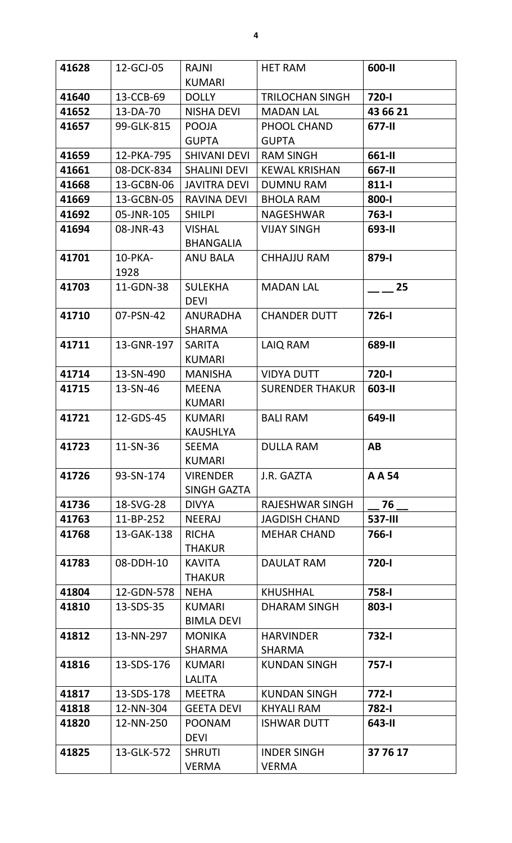| 41628 | 12-GCJ-05               | <b>RAJNI</b>                       | <b>HET RAM</b>         | 600-II         |
|-------|-------------------------|------------------------------------|------------------------|----------------|
|       |                         | <b>KUMARI</b>                      |                        |                |
| 41640 | 13-CCB-69               | <b>DOLLY</b>                       | <b>TRILOCHAN SINGH</b> | 720-l          |
| 41652 | 13-DA-70                | <b>NISHA DEVI</b>                  | <b>MADAN LAL</b>       | 43 66 21       |
| 41657 | 99-GLK-815              | <b>POOJA</b>                       | PHOOL CHAND            | 677-II         |
|       |                         | <b>GUPTA</b>                       | <b>GUPTA</b>           |                |
| 41659 | 12-PKA-795              | <b>SHIVANI DEVI</b>                | <b>RAM SINGH</b>       | 661-II         |
| 41661 | 08-DCK-834              | <b>SHALINI DEVI</b>                | <b>KEWAL KRISHAN</b>   | 667-II         |
| 41668 | 13-GCBN-06              | <b>JAVITRA DEVI</b>                | <b>DUMNU RAM</b>       | 811-l          |
| 41669 | 13-GCBN-05              | <b>RAVINA DEVI</b>                 | <b>BHOLA RAM</b>       | 800-l          |
| 41692 | 05-JNR-105              | <b>SHILPI</b>                      | <b>NAGESHWAR</b>       | $763 - 1$      |
| 41694 | 08-JNR-43               | <b>VISHAL</b>                      | <b>VIJAY SINGH</b>     | 693-II         |
|       |                         | <b>BHANGALIA</b>                   |                        |                |
| 41701 | 10-PKA-<br>1928         | <b>ANU BALA</b>                    | <b>CHHAJJU RAM</b>     | 879-l          |
| 41703 | 11-GDN-38               | <b>SULEKHA</b>                     | <b>MADAN LAL</b>       | 25             |
| 41710 | 07-PSN-42               | <b>DEVI</b><br><b>ANURADHA</b>     | <b>CHANDER DUTT</b>    | $726 - 1$      |
|       |                         | <b>SHARMA</b>                      |                        |                |
| 41711 | 13-GNR-197              | <b>SARITA</b><br><b>KUMARI</b>     | LAIQ RAM               | 689-II         |
| 41714 | 13-SN-490               | <b>MANISHA</b>                     | <b>VIDYA DUTT</b>      | 720-l          |
| 41715 | 13-SN-46                | <b>MEENA</b>                       | <b>SURENDER THAKUR</b> | 603-II         |
|       |                         | <b>KUMARI</b>                      |                        |                |
| 41721 | 12-GDS-45               | <b>KUMARI</b>                      | <b>BALI RAM</b>        | 649-II         |
|       |                         | <b>KAUSHLYA</b>                    |                        |                |
| 41723 | 11-SN-36                | <b>SEEMA</b>                       | <b>DULLA RAM</b>       | AB             |
|       |                         | <b>KUMARI</b>                      |                        |                |
| 41726 | 93-SN-174               | <b>VIRENDER</b>                    | J.R. GAZTA             | A A 54         |
|       |                         | <b>SINGH GAZTA</b>                 |                        |                |
| 41736 | 18-SVG-28               | <b>DIVYA</b>                       | <b>RAJESHWAR SINGH</b> | 76             |
| 41763 | 11-BP-252               | <b>NEERAJ</b>                      | <b>JAGDISH CHAND</b>   | <b>537-III</b> |
| 41768 | 13-GAK-138              | <b>RICHA</b>                       | <b>MEHAR CHAND</b>     | 766-l          |
|       |                         | <b>THAKUR</b>                      |                        |                |
| 41783 | 08-DDH-10               | <b>KAVITA</b>                      | <b>DAULAT RAM</b>      | 720-l          |
|       |                         | <b>THAKUR</b>                      |                        |                |
| 41804 | 12-GDN-578<br>13-SDS-35 | <b>NEHA</b>                        | <b>KHUSHHAL</b>        | 758-l          |
| 41810 |                         | <b>KUMARI</b><br><b>BIMLA DEVI</b> | <b>DHARAM SINGH</b>    | 803-l          |
| 41812 | 13-NN-297               | <b>MONIKA</b>                      | <b>HARVINDER</b>       | 732-l          |
|       |                         | <b>SHARMA</b>                      | <b>SHARMA</b>          |                |
| 41816 | 13-SDS-176              | <b>KUMARI</b>                      | <b>KUNDAN SINGH</b>    | $757 - 1$      |
|       |                         | <b>LALITA</b>                      |                        |                |
| 41817 | 13-SDS-178              | <b>MEETRA</b>                      | <b>KUNDAN SINGH</b>    | $772 - 1$      |
| 41818 | 12-NN-304               | <b>GEETA DEVI</b>                  | <b>KHYALI RAM</b>      | 782-l          |
| 41820 | 12-NN-250               | <b>POONAM</b>                      | <b>ISHWAR DUTT</b>     | 643-II         |
|       |                         | <b>DEVI</b>                        |                        |                |
| 41825 | 13-GLK-572              | <b>SHRUTI</b>                      | <b>INDER SINGH</b>     | 37 76 17       |
|       |                         | <b>VERMA</b>                       | <b>VERMA</b>           |                |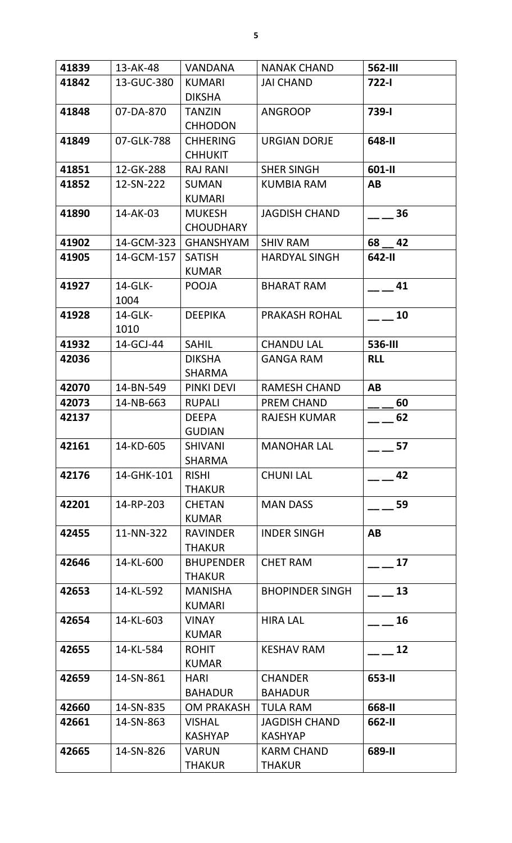| 41839 | 13-AK-48   | <b>VANDANA</b>                  | <b>NANAK CHAND</b>     | <b>562-III</b> |
|-------|------------|---------------------------------|------------------------|----------------|
| 41842 | 13-GUC-380 | <b>KUMARI</b>                   | <b>JAI CHAND</b>       | $722-1$        |
|       |            | <b>DIKSHA</b>                   |                        |                |
| 41848 | 07-DA-870  | <b>TANZIN</b>                   | <b>ANGROOP</b>         | <b>739-1</b>   |
|       |            | <b>CHHODON</b>                  |                        |                |
| 41849 | 07-GLK-788 | <b>CHHERING</b>                 | <b>URGIAN DORJE</b>    | 648-II         |
|       |            | <b>CHHUKIT</b>                  |                        |                |
| 41851 | 12-GK-288  | <b>RAJ RANI</b>                 | <b>SHER SINGH</b>      | 601-II         |
| 41852 | 12-SN-222  | <b>SUMAN</b>                    | <b>KUMBIA RAM</b>      | AB             |
|       |            | <b>KUMARI</b>                   |                        |                |
| 41890 | 14-AK-03   | <b>MUKESH</b>                   | <b>JAGDISH CHAND</b>   | 36             |
|       |            | <b>CHOUDHARY</b>                |                        |                |
| 41902 | 14-GCM-323 | <b>GHANSHYAM</b>                | <b>SHIV RAM</b>        | 68 42          |
| 41905 | 14-GCM-157 | <b>SATISH</b>                   | <b>HARDYAL SINGH</b>   | 642-II         |
|       |            | <b>KUMAR</b>                    |                        |                |
| 41927 | 14-GLK-    | <b>POOJA</b>                    | <b>BHARAT RAM</b>      | 41             |
|       | 1004       |                                 |                        |                |
| 41928 | 14-GLK-    | <b>DEEPIKA</b>                  | <b>PRAKASH ROHAL</b>   | 10             |
|       | 1010       |                                 |                        |                |
| 41932 | 14-GCJ-44  | <b>SAHIL</b>                    | <b>CHANDU LAL</b>      | 536-III        |
| 42036 |            | <b>DIKSHA</b>                   | <b>GANGA RAM</b>       | <b>RLL</b>     |
|       |            | <b>SHARMA</b>                   |                        |                |
| 42070 | 14-BN-549  | PINKI DEVI                      | <b>RAMESH CHAND</b>    | AB             |
| 42073 | 14-NB-663  | <b>RUPALI</b>                   | <b>PREM CHAND</b>      | 60             |
| 42137 |            | <b>DEEPA</b>                    | <b>RAJESH KUMAR</b>    | 62             |
| 42161 | 14-KD-605  | <b>GUDIAN</b><br><b>SHIVANI</b> | <b>MANOHAR LAL</b>     | 57             |
|       |            | <b>SHARMA</b>                   |                        |                |
| 42176 | 14-GHK-101 | <b>RISHI</b>                    | <b>CHUNI LAL</b>       | 42             |
|       |            | <b>THAKUR</b>                   |                        |                |
| 42201 | 14-RP-203  | <b>CHETAN</b>                   | <b>MAN DASS</b>        | 59             |
|       |            | <b>KUMAR</b>                    |                        |                |
| 42455 | 11-NN-322  | <b>RAVINDER</b>                 | <b>INDER SINGH</b>     | AB             |
|       |            | <b>THAKUR</b>                   |                        |                |
| 42646 | 14-KL-600  | <b>BHUPENDER</b>                | <b>CHET RAM</b>        | 17             |
|       |            | <b>THAKUR</b>                   |                        |                |
| 42653 | 14-KL-592  | <b>MANISHA</b>                  | <b>BHOPINDER SINGH</b> | 13             |
|       |            | <b>KUMARI</b>                   |                        |                |
| 42654 | 14-KL-603  | <b>VINAY</b>                    | <b>HIRA LAL</b>        | 16             |
|       |            | <b>KUMAR</b>                    |                        |                |
| 42655 | 14-KL-584  | <b>ROHIT</b>                    | <b>KESHAV RAM</b>      | 12             |
|       |            | <b>KUMAR</b>                    |                        |                |
| 42659 | 14-SN-861  | <b>HARI</b>                     | <b>CHANDER</b>         | 653-II         |
|       |            | <b>BAHADUR</b>                  | <b>BAHADUR</b>         |                |
| 42660 | 14-SN-835  | <b>OM PRAKASH</b>               | <b>TULA RAM</b>        | 668-II         |
| 42661 | 14-SN-863  | <b>VISHAL</b>                   | <b>JAGDISH CHAND</b>   | 662-II         |
|       |            | <b>KASHYAP</b>                  | <b>KASHYAP</b>         |                |
| 42665 | 14-SN-826  | <b>VARUN</b>                    | <b>KARM CHAND</b>      | 689-II         |
|       |            | <b>THAKUR</b>                   | <b>THAKUR</b>          |                |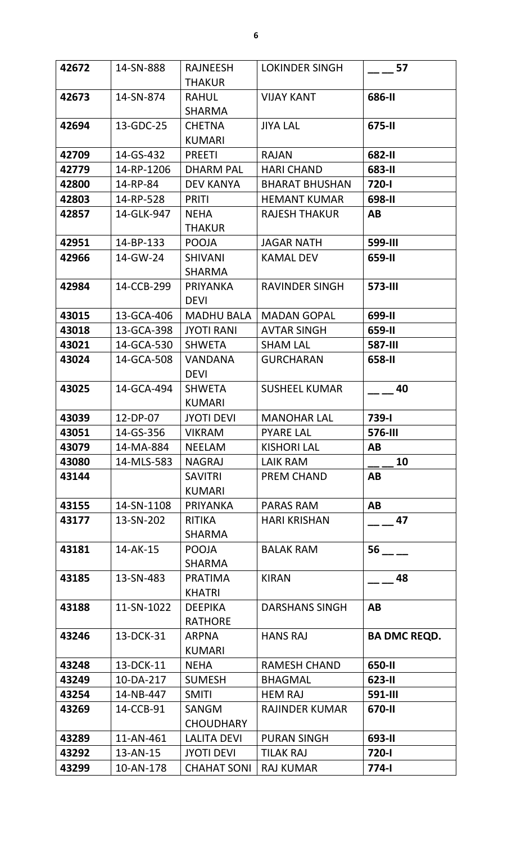| 42672 | 14-SN-888  | <b>RAJNEESH</b>    | <b>LOKINDER SINGH</b> | 57                  |
|-------|------------|--------------------|-----------------------|---------------------|
|       |            | <b>THAKUR</b>      |                       |                     |
| 42673 | 14-SN-874  | <b>RAHUL</b>       | <b>VIJAY KANT</b>     | 686-II              |
|       |            | <b>SHARMA</b>      |                       |                     |
| 42694 | 13-GDC-25  | <b>CHETNA</b>      | <b>JIYA LAL</b>       | 675-II              |
|       |            | <b>KUMARI</b>      |                       |                     |
| 42709 | 14-GS-432  | <b>PREETI</b>      | <b>RAJAN</b>          | 682-II              |
| 42779 | 14-RP-1206 | <b>DHARM PAL</b>   | <b>HARI CHAND</b>     | 683-II              |
| 42800 | 14-RP-84   | <b>DEV KANYA</b>   | <b>BHARAT BHUSHAN</b> | 720-l               |
| 42803 | 14-RP-528  | <b>PRITI</b>       | <b>HEMANT KUMAR</b>   | 698-II              |
| 42857 | 14-GLK-947 | <b>NEHA</b>        | <b>RAJESH THAKUR</b>  | AB                  |
|       |            | <b>THAKUR</b>      |                       |                     |
| 42951 | 14-BP-133  | <b>POOJA</b>       | <b>JAGAR NATH</b>     | <b>599-III</b>      |
| 42966 | 14-GW-24   | <b>SHIVANI</b>     | <b>KAMAL DEV</b>      | 659-II              |
|       |            | <b>SHARMA</b>      |                       |                     |
| 42984 | 14-CCB-299 | <b>PRIYANKA</b>    | <b>RAVINDER SINGH</b> | <b>573-III</b>      |
|       |            | <b>DEVI</b>        |                       |                     |
| 43015 | 13-GCA-406 | <b>MADHU BALA</b>  | <b>MADAN GOPAL</b>    | 699-II              |
| 43018 | 13-GCA-398 | <b>JYOTI RANI</b>  | <b>AVTAR SINGH</b>    | 659-II              |
| 43021 | 14-GCA-530 | <b>SHWETA</b>      | <b>SHAM LAL</b>       | <b>587-III</b>      |
| 43024 | 14-GCA-508 | <b>VANDANA</b>     | <b>GURCHARAN</b>      | 658-II              |
|       |            | <b>DEVI</b>        |                       |                     |
| 43025 | 14-GCA-494 | <b>SHWETA</b>      | <b>SUSHEEL KUMAR</b>  | 40                  |
|       |            | <b>KUMARI</b>      |                       |                     |
| 43039 | 12-DP-07   | <b>JYOTI DEVI</b>  | <b>MANOHAR LAL</b>    | 739-l               |
| 43051 | 14-GS-356  | <b>VIKRAM</b>      | <b>PYARE LAL</b>      | 576-III             |
| 43079 | 14-MA-884  | <b>NEELAM</b>      | <b>KISHORI LAL</b>    | AB                  |
| 43080 | 14-MLS-583 | <b>NAGRAJ</b>      | LAIK RAM              | 10                  |
| 43144 |            | <b>SAVITRI</b>     | <b>PREM CHAND</b>     | AB                  |
|       |            | <b>KUMARI</b>      |                       |                     |
| 43155 | 14-SN-1108 | <b>PRIYANKA</b>    | <b>PARAS RAM</b>      | AB                  |
| 43177 | 13-SN-202  | <b>RITIKA</b>      | <b>HARI KRISHAN</b>   | 47                  |
|       |            | SHARMA             |                       |                     |
| 43181 | 14-AK-15   | <b>POOJA</b>       | <b>BALAK RAM</b>      | 56                  |
|       |            | <b>SHARMA</b>      |                       |                     |
| 43185 | 13-SN-483  | <b>PRATIMA</b>     | <b>KIRAN</b>          | 48                  |
|       |            | <b>KHATRI</b>      |                       |                     |
| 43188 | 11-SN-1022 | <b>DEEPIKA</b>     | <b>DARSHANS SINGH</b> | <b>AB</b>           |
|       |            | <b>RATHORE</b>     |                       |                     |
| 43246 | 13-DCK-31  | <b>ARPNA</b>       | <b>HANS RAJ</b>       | <b>BA DMC REQD.</b> |
|       |            | <b>KUMARI</b>      |                       |                     |
| 43248 | 13-DCK-11  | <b>NEHA</b>        | <b>RAMESH CHAND</b>   | 650-II              |
| 43249 | 10-DA-217  | <b>SUMESH</b>      | <b>BHAGMAL</b>        | $623 - 11$          |
| 43254 | 14-NB-447  | <b>SMITI</b>       | <b>HEM RAJ</b>        | <b>591-III</b>      |
| 43269 | 14-CCB-91  | <b>SANGM</b>       | RAJINDER KUMAR        | 670-II              |
|       |            | <b>CHOUDHARY</b>   |                       |                     |
| 43289 | 11-AN-461  | <b>LALITA DEVI</b> | <b>PURAN SINGH</b>    | 693-II              |
| 43292 | 13-AN-15   | <b>JYOTI DEVI</b>  | <b>TILAK RAJ</b>      | 720-l               |
| 43299 | 10-AN-178  | <b>CHAHAT SONI</b> | <b>RAJ KUMAR</b>      | 774-l               |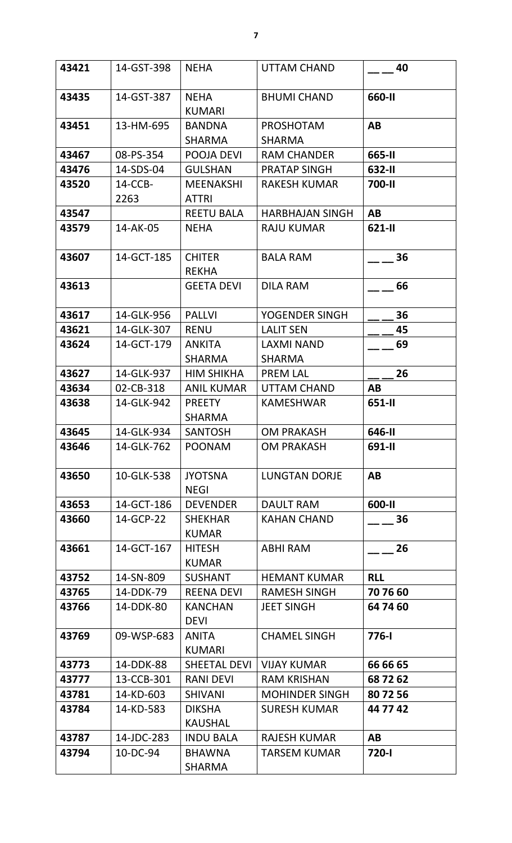| 43421 | 14-GST-398      | <b>NEHA</b>                      | UTTAM CHAND                        | 40         |
|-------|-----------------|----------------------------------|------------------------------------|------------|
| 43435 | 14-GST-387      | <b>NEHA</b><br><b>KUMARI</b>     | <b>BHUMI CHAND</b>                 | 660-II     |
| 43451 | 13-HM-695       | <b>BANDNA</b><br><b>SHARMA</b>   | <b>PROSHOTAM</b><br><b>SHARMA</b>  | AB         |
| 43467 | 08-PS-354       | POOJA DEVI                       | <b>RAM CHANDER</b>                 | 665-II     |
| 43476 | 14-SDS-04       | <b>GULSHAN</b>                   | <b>PRATAP SINGH</b>                | 632-II     |
| 43520 | 14-CCB-<br>2263 | <b>MEENAKSHI</b><br><b>ATTRI</b> | <b>RAKESH KUMAR</b>                | 700-II     |
| 43547 |                 | <b>REETU BALA</b>                | <b>HARBHAJAN SINGH</b>             | AB         |
| 43579 | 14-AK-05        | <b>NEHA</b>                      | <b>RAJU KUMAR</b>                  | 621-II     |
| 43607 | 14-GCT-185      | <b>CHITER</b><br><b>REKHA</b>    | <b>BALA RAM</b>                    | 36         |
| 43613 |                 | <b>GEETA DEVI</b>                | <b>DILA RAM</b>                    | 66         |
| 43617 | 14-GLK-956      | <b>PALLVI</b>                    | YOGENDER SINGH                     | 36         |
| 43621 | 14-GLK-307      | <b>RENU</b>                      | <b>LALIT SEN</b>                   | 45         |
| 43624 | 14-GCT-179      | <b>ANKITA</b><br><b>SHARMA</b>   | <b>LAXMI NAND</b><br><b>SHARMA</b> | 69         |
| 43627 | 14-GLK-937      | <b>HIM SHIKHA</b>                | <b>PREM LAL</b>                    | 26         |
| 43634 | 02-CB-318       | <b>ANIL KUMAR</b>                | UTTAM CHAND                        | AB         |
| 43638 | 14-GLK-942      | <b>PREETY</b><br><b>SHARMA</b>   | <b>KAMESHWAR</b>                   | 651-II     |
| 43645 | 14-GLK-934      | <b>SANTOSH</b>                   | <b>OM PRAKASH</b>                  | 646-II     |
| 43646 | 14-GLK-762      | <b>POONAM</b>                    | <b>OM PRAKASH</b>                  | 691-II     |
| 43650 | 10-GLK-538      | <b>JYOTSNA</b><br><b>NEGI</b>    | <b>LUNGTAN DORJE</b>               | AB         |
| 43653 | 14-GCT-186      | <b>DEVENDER</b>                  | <b>DAULT RAM</b>                   | 600-II     |
| 43660 | 14-GCP-22       | <b>SHEKHAR</b><br><b>KUMAR</b>   | <b>KAHAN CHAND</b>                 | 36         |
| 43661 | 14-GCT-167      | <b>HITESH</b><br><b>KUMAR</b>    | <b>ABHI RAM</b>                    | 26         |
| 43752 | 14-SN-809       | <b>SUSHANT</b>                   | <b>HEMANT KUMAR</b>                | <b>RLL</b> |
| 43765 | 14-DDK-79       | <b>REENA DEVI</b>                | <b>RAMESH SINGH</b>                | 70 76 60   |
| 43766 | 14-DDK-80       | <b>KANCHAN</b><br><b>DEVI</b>    | <b>JEET SINGH</b>                  | 64 74 60   |
| 43769 | 09-WSP-683      | ANITA<br><b>KUMARI</b>           | <b>CHAMEL SINGH</b>                | 776-I      |
| 43773 | 14-DDK-88       | SHEETAL DEVI                     | <b>VIJAY KUMAR</b>                 | 66 66 65   |
| 43777 | 13-CCB-301      | <b>RANI DEVI</b>                 | <b>RAM KRISHAN</b>                 | 68 72 62   |
| 43781 | 14-KD-603       | <b>SHIVANI</b>                   | <b>MOHINDER SINGH</b>              | 80 72 56   |
| 43784 | 14-KD-583       | <b>DIKSHA</b><br><b>KAUSHAL</b>  | <b>SURESH KUMAR</b>                | 44 77 42   |
| 43787 | 14-JDC-283      | <b>INDU BALA</b>                 | <b>RAJESH KUMAR</b>                | AB         |
| 43794 | 10-DC-94        | <b>BHAWNA</b><br><b>SHARMA</b>   | TARSEM KUMAR                       | 720-l      |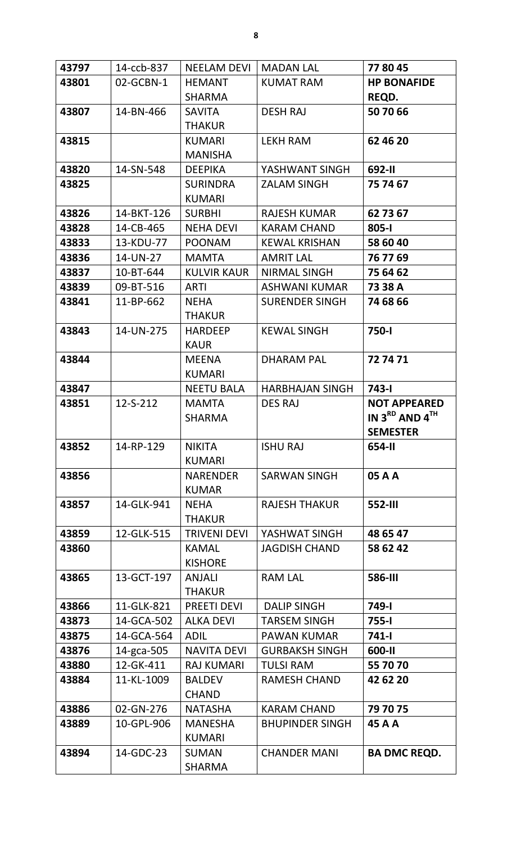| 43797 | 14-ccb-837     | <b>NEELAM DEVI</b>                  | <b>MADAN LAL</b>       | 77 80 45                                        |
|-------|----------------|-------------------------------------|------------------------|-------------------------------------------------|
| 43801 | 02-GCBN-1      | <b>HEMANT</b>                       | <b>KUMAT RAM</b>       | <b>HP BONAFIDE</b>                              |
|       |                | <b>SHARMA</b>                       |                        | REQD.                                           |
| 43807 | 14-BN-466      | <b>SAVITA</b>                       | <b>DESH RAJ</b>        | 50 70 66                                        |
|       |                | <b>THAKUR</b>                       |                        |                                                 |
| 43815 |                | <b>KUMARI</b>                       | <b>LEKH RAM</b>        | 62 46 20                                        |
|       |                | <b>MANISHA</b>                      |                        |                                                 |
| 43820 | 14-SN-548      | <b>DEEPIKA</b>                      | YASHWANT SINGH         | 692-II                                          |
| 43825 |                | <b>SURINDRA</b>                     | <b>ZALAM SINGH</b>     | 75 74 67                                        |
|       |                | <b>KUMARI</b>                       |                        |                                                 |
| 43826 | 14-BKT-126     | <b>SURBHI</b>                       | <b>RAJESH KUMAR</b>    | 62 73 67                                        |
| 43828 | 14-CB-465      | <b>NEHA DEVI</b>                    | <b>KARAM CHAND</b>     | $805 - 1$                                       |
| 43833 | 13-KDU-77      | <b>POONAM</b>                       | <b>KEWAL KRISHAN</b>   | 58 60 40                                        |
| 43836 | 14-UN-27       | <b>MAMTA</b>                        | <b>AMRIT LAL</b>       | 76 77 69                                        |
| 43837 | 10-BT-644      | <b>KULVIR KAUR</b>                  | NIRMAL SINGH           | 75 64 62                                        |
| 43839 | 09-BT-516      | <b>ARTI</b>                         | <b>ASHWANI KUMAR</b>   | 73 38 A                                         |
| 43841 | 11-BP-662      | <b>NEHA</b>                         | <b>SURENDER SINGH</b>  | 74 68 66                                        |
|       |                | <b>THAKUR</b>                       |                        |                                                 |
| 43843 | 14-UN-275      | <b>HARDEEP</b>                      | <b>KEWAL SINGH</b>     | 750-l                                           |
|       |                | <b>KAUR</b>                         |                        |                                                 |
| 43844 |                | <b>MEENA</b>                        | <b>DHARAM PAL</b>      | 727471                                          |
|       |                | <b>KUMARI</b>                       |                        |                                                 |
| 43847 |                | <b>NEETU BALA</b>                   | <b>HARBHAJAN SINGH</b> | $743 - 1$                                       |
| 43851 | $12 - S - 212$ | <b>MAMTA</b><br><b>SHARMA</b>       | <b>DES RAJ</b>         | <b>NOT APPEARED</b><br>IN $3^{RD}$ AND $4^{TH}$ |
|       |                |                                     |                        |                                                 |
|       |                |                                     |                        |                                                 |
|       |                |                                     |                        | <b>SEMESTER</b>                                 |
| 43852 | 14-RP-129      | <b>NIKITA</b>                       | <b>ISHU RAJ</b>        | 654-II                                          |
|       |                | <b>KUMARI</b>                       |                        |                                                 |
| 43856 |                | <b>NARENDER</b>                     | <b>SARWAN SINGH</b>    | 05 A A                                          |
|       |                | <b>KUMAR</b>                        |                        |                                                 |
| 43857 | 14-GLK-941     | <b>NEHA</b><br><b>THAKUR</b>        | <b>RAJESH THAKUR</b>   | 552-III                                         |
| 43859 | 12-GLK-515     |                                     | YASHWAT SINGH          | 48 65 47                                        |
| 43860 |                | <b>TRIVENI DEVI</b><br><b>KAMAL</b> | <b>JAGDISH CHAND</b>   | 58 62 42                                        |
|       |                | <b>KISHORE</b>                      |                        |                                                 |
| 43865 | 13-GCT-197     | <b>ANJALI</b>                       | <b>RAM LAL</b>         | <b>586-III</b>                                  |
|       |                | <b>THAKUR</b>                       |                        |                                                 |
| 43866 | 11-GLK-821     | <b>PREETI DEVI</b>                  | <b>DALIP SINGH</b>     | 749-l                                           |
| 43873 | 14-GCA-502     | <b>ALKA DEVI</b>                    | <b>TARSEM SINGH</b>    | 755-l                                           |
| 43875 | 14-GCA-564     | <b>ADIL</b>                         | <b>PAWAN KUMAR</b>     | 741-l                                           |
| 43876 | 14-gca-505     | <b>NAVITA DEVI</b>                  | <b>GURBAKSH SINGH</b>  | 600-II                                          |
| 43880 | 12-GK-411      | <b>RAJ KUMARI</b>                   | <b>TULSI RAM</b>       | 55 70 70                                        |
| 43884 | 11-KL-1009     | <b>BALDEV</b>                       | <b>RAMESH CHAND</b>    | 42 62 20                                        |
|       |                | <b>CHAND</b>                        |                        |                                                 |
| 43886 | 02-GN-276      | <b>NATASHA</b>                      | <b>KARAM CHAND</b>     | 79 70 75                                        |
| 43889 | 10-GPL-906     | <b>MANESHA</b>                      | <b>BHUPINDER SINGH</b> | 45 A A                                          |
|       |                | <b>KUMARI</b>                       |                        |                                                 |
| 43894 | 14-GDC-23      | <b>SUMAN</b><br><b>SHARMA</b>       | <b>CHANDER MANI</b>    | <b>BA DMC REQD.</b>                             |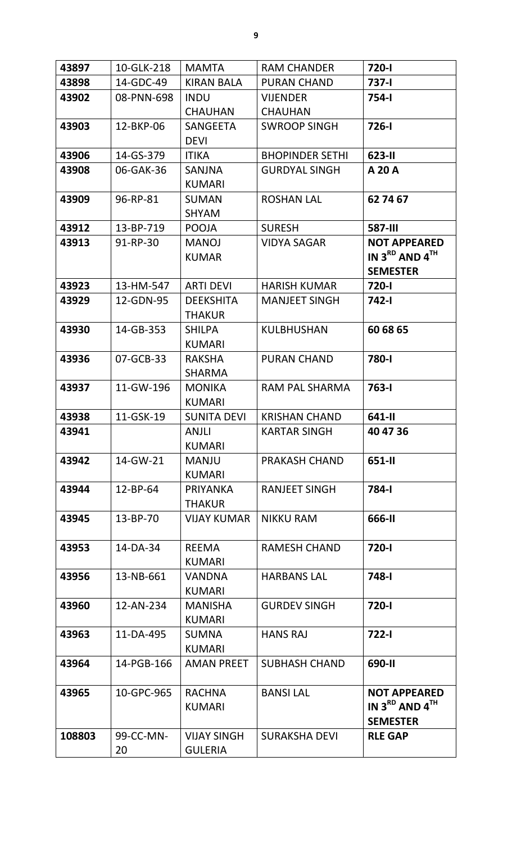| 43897  | 10-GLK-218      | <b>MAMTA</b>                         | <b>RAM CHANDER</b>     | 720-l                                                              |
|--------|-----------------|--------------------------------------|------------------------|--------------------------------------------------------------------|
| 43898  | 14-GDC-49       | <b>KIRAN BALA</b>                    | <b>PURAN CHAND</b>     | 737-l                                                              |
| 43902  | 08-PNN-698      | <b>INDU</b>                          | <b>VIJENDER</b>        | 754-l                                                              |
|        |                 | <b>CHAUHAN</b>                       | <b>CHAUHAN</b>         |                                                                    |
| 43903  | 12-BKP-06       | <b>SANGEETA</b><br><b>DEVI</b>       | <b>SWROOP SINGH</b>    | $726 - 1$                                                          |
| 43906  | 14-GS-379       | <b>ITIKA</b>                         | <b>BHOPINDER SETHI</b> | 623-II                                                             |
| 43908  | 06-GAK-36       | <b>SANJNA</b><br><b>KUMARI</b>       | <b>GURDYAL SINGH</b>   | <b>A 20 A</b>                                                      |
| 43909  | 96-RP-81        | <b>SUMAN</b><br><b>SHYAM</b>         | <b>ROSHAN LAL</b>      | 62 74 67                                                           |
| 43912  | 13-BP-719       | <b>POOJA</b>                         | <b>SURESH</b>          | <b>587-III</b>                                                     |
| 43913  | 91-RP-30        | <b>MANOJ</b><br><b>KUMAR</b>         | <b>VIDYA SAGAR</b>     | <b>NOT APPEARED</b><br>IN $3^{RD}$ AND $4^{TH}$<br><b>SEMESTER</b> |
| 43923  | 13-HM-547       | <b>ARTI DEVI</b>                     | <b>HARISH KUMAR</b>    | 720-l                                                              |
| 43929  | 12-GDN-95       | <b>DEEKSHITA</b><br><b>THAKUR</b>    | <b>MANJEET SINGH</b>   | <b>742-1</b>                                                       |
| 43930  | 14-GB-353       | <b>SHILPA</b><br><b>KUMARI</b>       | <b>KULBHUSHAN</b>      | 60 68 65                                                           |
| 43936  | 07-GCB-33       | <b>RAKSHA</b><br><b>SHARMA</b>       | <b>PURAN CHAND</b>     | 780-l                                                              |
| 43937  | 11-GW-196       | <b>MONIKA</b><br><b>KUMARI</b>       | RAM PAL SHARMA         | $763 - 1$                                                          |
| 43938  | 11-GSK-19       | <b>SUNITA DEVI</b>                   | <b>KRISHAN CHAND</b>   | 641-II                                                             |
| 43941  |                 | <b>ANJLI</b><br><b>KUMARI</b>        | <b>KARTAR SINGH</b>    | 40 47 36                                                           |
| 43942  | 14-GW-21        | <b>MANJU</b><br><b>KUMARI</b>        | <b>PRAKASH CHAND</b>   | 651-II                                                             |
| 43944  | $12 - BP - 64$  | PRIYANKA<br><b>THAKUR</b>            | <b>RANJEET SINGH</b>   | 784-I                                                              |
| 43945  | 13-BP-70        | <b>VIJAY KUMAR</b>                   | <b>NIKKU RAM</b>       | 666-II                                                             |
| 43953  | 14-DA-34        | <b>REEMA</b><br><b>KUMARI</b>        | <b>RAMESH CHAND</b>    | 720-l                                                              |
| 43956  | 13-NB-661       | <b>VANDNA</b><br><b>KUMARI</b>       | <b>HARBANS LAL</b>     | <b>748-1</b>                                                       |
| 43960  | 12-AN-234       | <b>MANISHA</b><br><b>KUMARI</b>      | <b>GURDEV SINGH</b>    | 720-l                                                              |
| 43963  | 11-DA-495       | <b>SUMNA</b><br><b>KUMARI</b>        | <b>HANS RAJ</b>        | $722 - 1$                                                          |
| 43964  | 14-PGB-166      | <b>AMAN PREET</b>                    | <b>SUBHASH CHAND</b>   | 690-II                                                             |
| 43965  | 10-GPC-965      | <b>RACHNA</b><br><b>KUMARI</b>       | <b>BANSILAL</b>        | <b>NOT APPEARED</b><br>IN $3^{RD}$ AND $4^{TH}$<br><b>SEMESTER</b> |
| 108803 | 99-CC-MN-<br>20 | <b>VIJAY SINGH</b><br><b>GULERIA</b> | <b>SURAKSHA DEVI</b>   | <b>RLE GAP</b>                                                     |